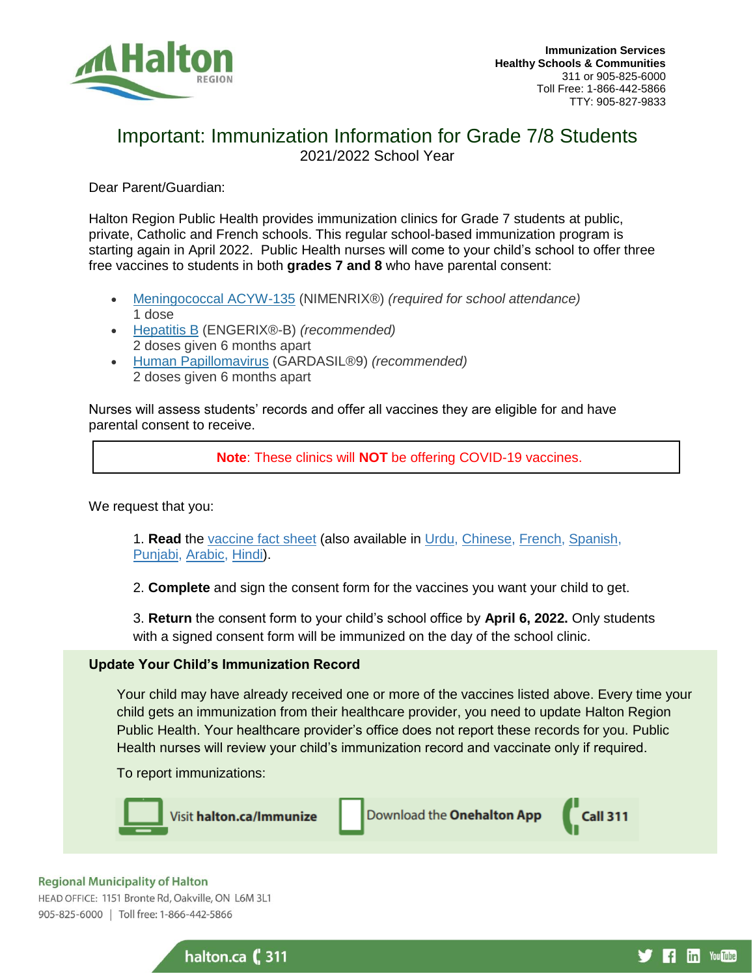

f in YouTube

# Important: Immunization Information for Grade 7/8 Students 2021/2022 School Year

Dear Parent/Guardian:

Halton Region Public Health provides immunization clinics for Grade 7 students at public, private, Catholic and French schools. This regular school-based immunization program is starting again in April 2022. Public Health nurses will come to your child's school to offer three free vaccines to students in both **grades 7 and 8** who have parental consent:

- [Meningococcal ACYW-135](https://www.halton.ca/For-Residents/Immunizations-Preventable-Disease/Immunization/Meningococcal-Conjugate-ACYW-135-(Men-C-ACYW)-Vacc) (NIMENRIX®) *(required for school attendance)* 1 dose
- [Hepatitis B](https://www.halton.ca/For-Residents/Immunizations-Preventable-Disease/Immunization/Hepatitis-B-Vaccine) (ENGERIX®-B) *(recommended)* 2 doses given 6 months apart
- [Human Papillomavirus](https://www.halton.ca/For-Residents/Immunizations-Preventable-Disease/Immunization/HPV-Vaccine) (GARDASIL®9) *(recommended)* 2 doses given 6 months apart

Nurses will assess students' records and offer all vaccines they are eligible for and have parental consent to receive.

**Note**: These clinics will **NOT** be offering COVID-19 vaccines.

We request that you:

1. **Read** the [vaccine fact sheet](https://www.halton.ca/getmedia/b50d1e99-6e90-4b4a-831b-8dcfcd046a7f/HE-school-based-immunizations-fact-sheet-english.aspx) (also available in [Urdu,](https://www.halton.ca/getmedia/db6dee34-f753-41e7-9c4a-a3b49d44f570/HE-school-based-immunizations-fact-sheet-urdu.aspx) [Chinese,](https://www.halton.ca/getmedia/cce7f5bb-864a-4c89-8dfe-a9dcc998d80e/HE-school-based-immunizations-fact-sheet-chinese.aspx) [French,](https://www.halton.ca/getmedia/1fdce636-bc76-4e06-a7fe-a4dd96d04459/HE-school-based-immunizations-fact-sheet-french.aspx) [Spanish,](https://www.halton.ca/getmedia/d0cfcb55-cd24-47dd-b062-7e3261d00a7a/HE-school-based-immunizations-fact-sheet-spanish.aspx) [Punjabi,](https://www.halton.ca/getmedia/5c2ceddd-8331-4015-9eae-9e7cf0b37ea4/HE-school-based-immunizations-fact-sheet-punjabi.aspx) [Arabic,](https://www.halton.ca/getmedia/d626e291-6254-4582-9bea-dc3692fd4d6b/HE-school-based-immunizations-fact-sheet-arabic.aspx) [Hindi\)](https://www.halton.ca/getmedia/2e37373c-a868-45d8-97b2-db1ea4ff8c55/HE-school-based-immunizations-fact-sheet-hindi.aspx).

2. **Complete** and sign the consent form for the vaccines you want your child to get.

3. **Return** the consent form to your child's school office by **April 6, 2022.** Only students with a signed consent form will be immunized on the day of the school clinic.

# **Update Your Child's Immunization Record**

halton.ca (, 311

Your child may have already received one or more of the vaccines listed above. Every time your child gets an immunization from their healthcare provider, you need to update Halton Region Public Health. Your healthcare provider's office does not report these records for you. Public Health nurses will review your child's immunization record and vaccinate only if required.

To report immunizations:



#### **Regional Municipality of Halton**

HEAD OFFICE: 1151 Bronte Rd, Oakville, ON L6M 3L1 905-825-6000 | Toll free: 1-866-442-5866